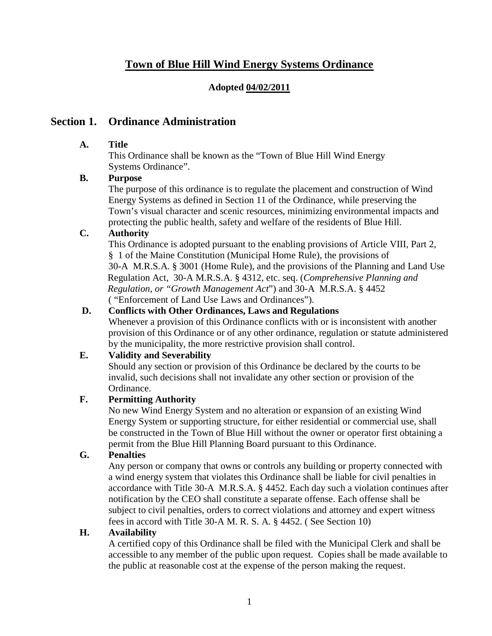# **Town of Blue Hill Wind Energy Systems Ordinance**

### **Adopted 04/02/2011**

## **Section 1. Ordinance Administration**

### **A. Title**

This Ordinance shall be known as the "Town of Blue Hill Wind Energy Systems Ordinance".

### **B. Purpose**

The purpose of this ordinance is to regulate the placement and construction of Wind Energy Systems as defined in Section 11 of the Ordinance, while preserving the Town's visual character and scenic resources, minimizing environmental impacts and protecting the public health, safety and welfare of the residents of Blue Hill.

### **C. Authority**

This Ordinance is adopted pursuant to the enabling provisions of Article VIII, Part 2, § 1 of the Maine Constitution (Municipal Home Rule), the provisions of 30-A M.R.S.A. § 3001 (Home Rule), and the provisions of the Planning and Land Use Regulation Act, 30-A M.R.S.A. § 4312, etc. seq. (*Comprehensive Planning and Regulation, or "Growth Management Act*") and 30-A M.R.S.A. § 4452 ( "Enforcement of Land Use Laws and Ordinances").

### **D. Conflicts with Other Ordinances, Laws and Regulations**

Whenever a provision of this Ordinance conflicts with or is inconsistent with another provision of this Ordinance or of any other ordinance, regulation or statute administered by the municipality, the more restrictive provision shall control.

### **E. Validity and Severability**

Should any section or provision of this Ordinance be declared by the courts to be invalid, such decisions shall not invalidate any other section or provision of the Ordinance.

### **F. Permitting Authority**

No new Wind Energy System and no alteration or expansion of an existing Wind Energy System or supporting structure, for either residential or commercial use, shall be constructed in the Town of Blue Hill without the owner or operator first obtaining a permit from the Blue Hill Planning Board pursuant to this Ordinance.

## **G. Penalties**

Any person or company that owns or controls any building or property connected with a wind energy system that violates this Ordinance shall be liable for civil penalties in accordance with Title 30-A M.R.S.A. § 4452. Each day such a violation continues after notification by the CEO shall constitute a separate offense. Each offense shall be subject to civil penalties, orders to correct violations and attorney and expert witness fees in accord with Title 30-A M. R. S. A. § 4452. ( See Section 10)

### **H. Availability**

A certified copy of this Ordinance shall be filed with the Municipal Clerk and shall be accessible to any member of the public upon request. Copies shall be made available to the public at reasonable cost at the expense of the person making the request.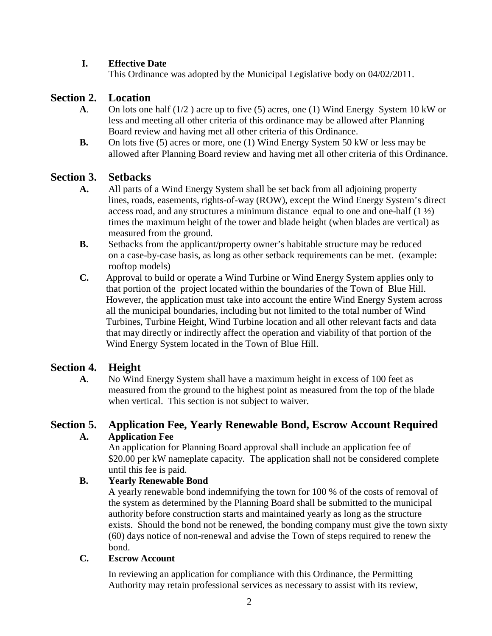### **I. Effective Date**

This Ordinance was adopted by the Municipal Legislative body on  $04/02/2011$ .

# **Section 2. Location**

- **A**. On lots one half (1/2 ) acre up to five (5) acres, one (1) Wind Energy System 10 kW or less and meeting all other criteria of this ordinance may be allowed after Planning Board review and having met all other criteria of this Ordinance.
- **B.** On lots five (5) acres or more, one (1) Wind Energy System 50 kW or less may be allowed after Planning Board review and having met all other criteria of this Ordinance.

# **Section 3. Setbacks**

- **A.** All parts of a Wind Energy System shall be set back from all adjoining property lines, roads, easements, rights-of-way (ROW), except the Wind Energy System's direct access road, and any structures a minimum distance equal to one and one-half  $(1 \frac{1}{2})$ times the maximum height of the tower and blade height (when blades are vertical) as measured from the ground.
- **B.** Setbacks from the applicant/property owner's habitable structure may be reduced on a case-by-case basis, as long as other setback requirements can be met. (example: rooftop models)
- **C.** Approval to build or operate a Wind Turbine or Wind Energy System applies only to that portion of the project located within the boundaries of the Town of Blue Hill. However, the application must take into account the entire Wind Energy System across all the municipal boundaries, including but not limited to the total number of Wind Turbines, Turbine Height, Wind Turbine location and all other relevant facts and data that may directly or indirectly affect the operation and viability of that portion of the Wind Energy System located in the Town of Blue Hill.

# **Section 4. Height**

**A**. No Wind Energy System shall have a maximum height in excess of 100 feet as measured from the ground to the highest point as measured from the top of the blade when vertical. This section is not subject to waiver.

## **Section 5. Application Fee, Yearly Renewable Bond, Escrow Account Required A. Application Fee**

An application for Planning Board approval shall include an application fee of \$20.00 per kW nameplate capacity. The application shall not be considered complete until this fee is paid.

## **B. Yearly Renewable Bond**

A yearly renewable bond indemnifying the town for 100 % of the costs of removal of the system as determined by the Planning Board shall be submitted to the municipal authority before construction starts and maintained yearly as long as the structure exists. Should the bond not be renewed, the bonding company must give the town sixty (60) days notice of non-renewal and advise the Town of steps required to renew the bond.

### **C. Escrow Account**

In reviewing an application for compliance with this Ordinance, the Permitting Authority may retain professional services as necessary to assist with its review,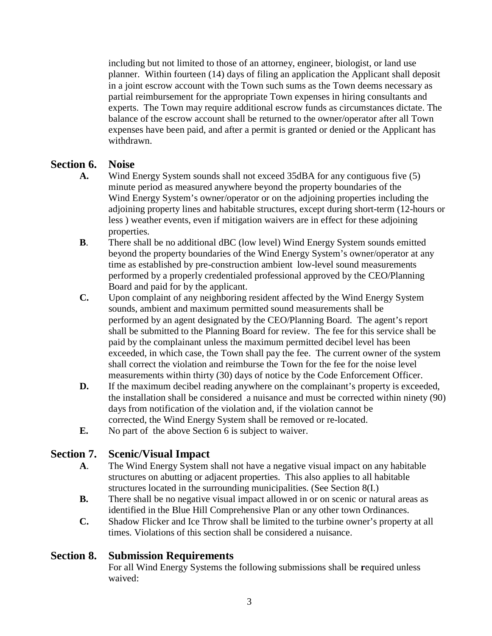including but not limited to those of an attorney, engineer, biologist, or land use planner. Within fourteen (14) days of filing an application the Applicant shall deposit in a joint escrow account with the Town such sums as the Town deems necessary as partial reimbursement for the appropriate Town expenses in hiring consultants and experts. The Town may require additional escrow funds as circumstances dictate. The balance of the escrow account shall be returned to the owner/operator after all Town expenses have been paid, and after a permit is granted or denied or the Applicant has withdrawn.

## **Section 6. Noise**

- **A.** Wind Energy System sounds shall not exceed 35dBA for any contiguous five (5) minute period as measured anywhere beyond the property boundaries of the Wind Energy System's owner/operator or on the adjoining properties including the adjoining property lines and habitable structures, except during short-term (12-hours or less ) weather events, even if mitigation waivers are in effect for these adjoining properties.
- **B**. There shall be no additional dBC (low level) Wind Energy System sounds emitted beyond the property boundaries of the Wind Energy System's owner/operator at any time as established by pre-construction ambient low-level sound measurements performed by a properly credentialed professional approved by the CEO/Planning Board and paid for by the applicant.
- **C.** Upon complaint of any neighboring resident affected by the Wind Energy System sounds, ambient and maximum permitted sound measurements shall be performed by an agent designated by the CEO/Planning Board. The agent's report shall be submitted to the Planning Board for review. The fee for this service shall be paid by the complainant unless the maximum permitted decibel level has been exceeded, in which case, the Town shall pay the fee. The current owner of the system shall correct the violation and reimburse the Town for the fee for the noise level measurements within thirty (30) days of notice by the Code Enforcement Officer.
- **D.** If the maximum decibel reading anywhere on the complainant's property is exceeded, the installation shall be considered a nuisance and must be corrected within ninety (90) days from notification of the violation and, if the violation cannot be corrected, the Wind Energy System shall be removed or re-located.
- **E.** No part of the above Section 6 is subject to waiver.

# **Section 7. Scenic/Visual Impact**

- **A**. The Wind Energy System shall not have a negative visual impact on any habitable structures on abutting or adjacent properties. This also applies to all habitable structures located in the surrounding municipalities. (See Section 8(I.)
- **B.** There shall be no negative visual impact allowed in or on scenic or natural areas as identified in the Blue Hill Comprehensive Plan or any other town Ordinances.
- **C.** Shadow Flicker and Ice Throw shall be limited to the turbine owner's property at all times. Violations of this section shall be considered a nuisance.

## **Section 8. Submission Requirements**

For all Wind Energy Systems the following submissions shall be **r**equired unless waived: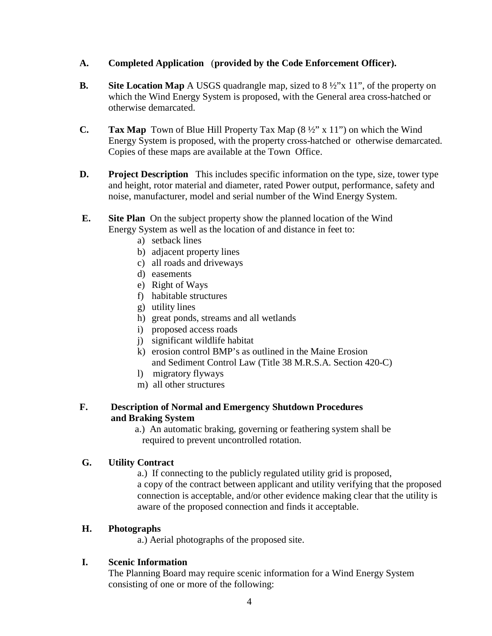### **A. Completed Application** (**provided by the Code Enforcement Officer).**

- **B. Site Location Map** A USGS quadrangle map, sized to 8 ½"x 11", of the property on which the Wind Energy System is proposed, with the General area cross-hatched or otherwise demarcated.
- **C. Tax Map** Town of Blue Hill Property Tax Map (8 ½" x 11") on which the Wind Energy System is proposed, with the property cross-hatched or otherwise demarcated. Copies of these maps are available at the Town Office.
- **D. Project Description** This includes specific information on the type, size, tower type and height, rotor material and diameter, rated Power output, performance, safety and noise, manufacturer, model and serial number of the Wind Energy System.
- **E. Site Plan** On the subject property show the planned location of the Wind Energy System as well as the location of and distance in feet to:
	- a) setback lines
	- b) adjacent property lines
	- c) all roads and driveways
	- d) easements
	- e) Right of Ways
	- f) habitable structures
	- g) utility lines
	- h) great ponds, streams and all wetlands
	- i) proposed access roads
	- j) significant wildlife habitat
	- k) erosion control BMP's as outlined in the Maine Erosion and Sediment Control Law (Title 38 M.R.S.A. Section 420-C)
	- l) migratory flyways
	- m) all other structures

#### **F. Description of Normal and Emergency Shutdown Procedures and Braking System**

 a.) An automatic braking, governing or feathering system shall be required to prevent uncontrolled rotation.

### **G. Utility Contract**

a.) If connecting to the publicly regulated utility grid is proposed, a copy of the contract between applicant and utility verifying that the proposed connection is acceptable, and/or other evidence making clear that the utility is aware of the proposed connection and finds it acceptable.

### **H. Photographs**

a.) Aerial photographs of the proposed site.

### **I. Scenic Information**

The Planning Board may require scenic information for a Wind Energy System consisting of one or more of the following: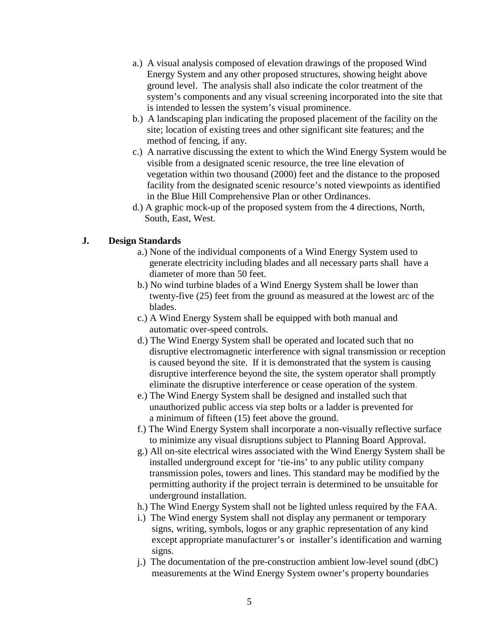- a.) A visual analysis composed of elevation drawings of the proposed Wind Energy System and any other proposed structures, showing height above ground level. The analysis shall also indicate the color treatment of the system's components and any visual screening incorporated into the site that is intended to lessen the system's visual prominence.
- b.) A landscaping plan indicating the proposed placement of the facility on the site; location of existing trees and other significant site features; and the method of fencing, if any.
- c.) A narrative discussing the extent to which the Wind Energy System would be visible from a designated scenic resource, the tree line elevation of vegetation within two thousand (2000) feet and the distance to the proposed facility from the designated scenic resource's noted viewpoints as identified in the Blue Hill Comprehensive Plan or other Ordinances.
- d.) A graphic mock-up of the proposed system from the 4 directions, North, South, East, West.

#### **J. Design Standards**

- a.) None of the individual components of a Wind Energy System used to generate electricity including blades and all necessary parts shall have a diameter of more than 50 feet.
- b.) No wind turbine blades of a Wind Energy System shall be lower than twenty-five (25) feet from the ground as measured at the lowest arc of the blades.
- c.) A Wind Energy System shall be equipped with both manual and automatic over-speed controls.
- d.) The Wind Energy System shall be operated and located such that no disruptive electromagnetic interference with signal transmission or reception is caused beyond the site. If it is demonstrated that the system is causing disruptive interference beyond the site, the system operator shall promptly eliminate the disruptive interference or cease operation of the system.
- e.) The Wind Energy System shall be designed and installed such that unauthorized public access via step bolts or a ladder is prevented for a minimum of fifteen (15) feet above the ground.
- f.) The Wind Energy System shall incorporate a non-visually reflective surface to minimize any visual disruptions subject to Planning Board Approval.
- g.) All on-site electrical wires associated with the Wind Energy System shall be installed underground except for 'tie-ins' to any public utility company transmission poles, towers and lines. This standard may be modified by the permitting authority if the project terrain is determined to be unsuitable for underground installation.
- h.) The Wind Energy System shall not be lighted unless required by the FAA.
- i.) The Wind energy System shall not display any permanent or temporary signs, writing, symbols, logos or any graphic representation of any kind except appropriate manufacturer's or installer's identification and warning signs.
- j.) The documentation of the pre-construction ambient low-level sound (dbC) measurements at the Wind Energy System owner's property boundaries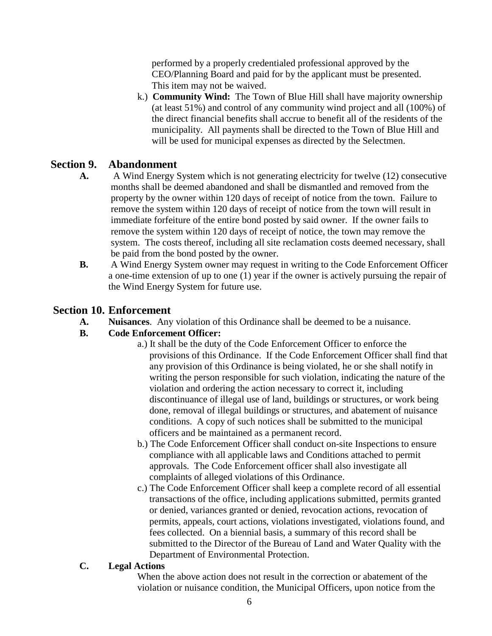performed by a properly credentialed professional approved by the CEO/Planning Board and paid for by the applicant must be presented. This item may not be waived.

k.) **Community Wind:** The Town of Blue Hill shall have majority ownership (at least 51%) and control of any community wind project and all (100%) of the direct financial benefits shall accrue to benefit all of the residents of the municipality. All payments shall be directed to the Town of Blue Hill and will be used for municipal expenses as directed by the Selectmen.

# **Section 9. Abandonment**

- **A.** A Wind Energy System which is not generating electricity for twelve (12) consecutive months shall be deemed abandoned and shall be dismantled and removed from the property by the owner within 120 days of receipt of notice from the town. Failure to remove the system within 120 days of receipt of notice from the town will result in immediate forfeiture of the entire bond posted by said owner. If the owner fails to remove the system within 120 days of receipt of notice, the town may remove the system. The costs thereof, including all site reclamation costs deemed necessary, shall be paid from the bond posted by the owner.
- **B.** A Wind Energy System owner may request in writing to the Code Enforcement Officer a one-time extension of up to one (1) year if the owner is actively pursuing the repair of the Wind Energy System for future use.

# **Section 10. Enforcement**

**A. Nuisances**. Any violation of this Ordinance shall be deemed to be a nuisance.

## **B. Code Enforcement Officer:**

- a.) It shall be the duty of the Code Enforcement Officer to enforce the provisions of this Ordinance. If the Code Enforcement Officer shall find that any provision of this Ordinance is being violated, he or she shall notify in writing the person responsible for such violation, indicating the nature of the violation and ordering the action necessary to correct it, including discontinuance of illegal use of land, buildings or structures, or work being done, removal of illegal buildings or structures, and abatement of nuisance conditions. A copy of such notices shall be submitted to the municipal officers and be maintained as a permanent record.
- b.) The Code Enforcement Officer shall conduct on-site Inspections to ensure compliance with all applicable laws and Conditions attached to permit approvals. The Code Enforcement officer shall also investigate all complaints of alleged violations of this Ordinance.
- c.) The Code Enforcement Officer shall keep a complete record of all essential transactions of the office, including applications submitted, permits granted or denied, variances granted or denied, revocation actions, revocation of permits, appeals, court actions, violations investigated, violations found, and fees collected. On a biennial basis, a summary of this record shall be submitted to the Director of the Bureau of Land and Water Quality with the Department of Environmental Protection.

### **C. Legal Actions**

When the above action does not result in the correction or abatement of the violation or nuisance condition, the Municipal Officers, upon notice from the